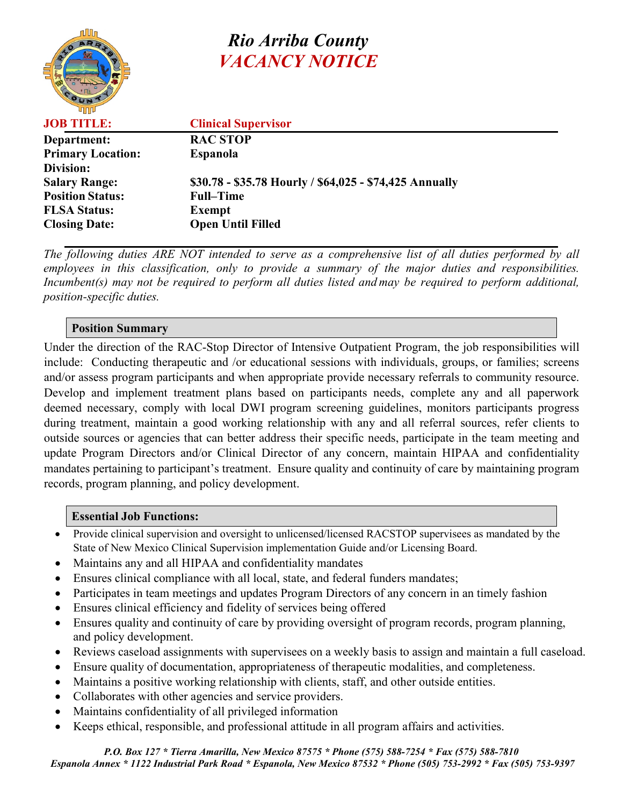

# *Rio Arriba County VACANCY NOTICE*

| <b>JOB TITLE:</b>        | <b>Clinical Supervisor</b>                              |
|--------------------------|---------------------------------------------------------|
| Department:              | <b>RAC STOP</b>                                         |
| <b>Primary Location:</b> | <b>Espanola</b>                                         |
| Division:                |                                                         |
| <b>Salary Range:</b>     | \$30.78 - \$35.78 Hourly / \$64,025 - \$74,425 Annually |
| <b>Position Status:</b>  | <b>Full-Time</b>                                        |
| <b>FLSA Status:</b>      | <b>Exempt</b>                                           |
| <b>Closing Date:</b>     | <b>Open Until Filled</b>                                |

*The following duties ARE NOT intended to serve as a comprehensive list of all duties performed by all employees in this classification, only to provide a summary of the major duties and responsibilities. Incumbent(s) may not be required to perform all duties listed and may be required to perform additional, position-specific duties.*

#### **Position Summary**

Under the direction of the RAC-Stop Director of Intensive Outpatient Program, the job responsibilities will include: Conducting therapeutic and /or educational sessions with individuals, groups, or families; screens and/or assess program participants and when appropriate provide necessary referrals to community resource. Develop and implement treatment plans based on participants needs, complete any and all paperwork deemed necessary, comply with local DWI program screening guidelines, monitors participants progress during treatment, maintain a good working relationship with any and all referral sources, refer clients to outside sources or agencies that can better address their specific needs, participate in the team meeting and update Program Directors and/or Clinical Director of any concern, maintain HIPAA and confidentiality mandates pertaining to participant's treatment. Ensure quality and continuity of care by maintaining program records, program planning, and policy development.

#### **Essential Job Functions:**

- Provide clinical supervision and oversight to unlicensed/licensed RACSTOP supervisees as mandated by the State of New Mexico Clinical Supervision implementation Guide and/or Licensing Board.
- Maintains any and all HIPAA and confidentiality mandates
- Ensures clinical compliance with all local, state, and federal funders mandates;
- Participates in team meetings and updates Program Directors of any concern in an timely fashion
- Ensures clinical efficiency and fidelity of services being offered
- Ensures quality and continuity of care by providing oversight of program records, program planning, and policy development.
- Reviews caseload assignments with supervisees on a weekly basis to assign and maintain a full caseload.
- Ensure quality of documentation, appropriateness of therapeutic modalities, and completeness.
- Maintains a positive working relationship with clients, staff, and other outside entities.
- Collaborates with other agencies and service providers.
- Maintains confidentiality of all privileged information
- Keeps ethical, responsible, and professional attitude in all program affairs and activities.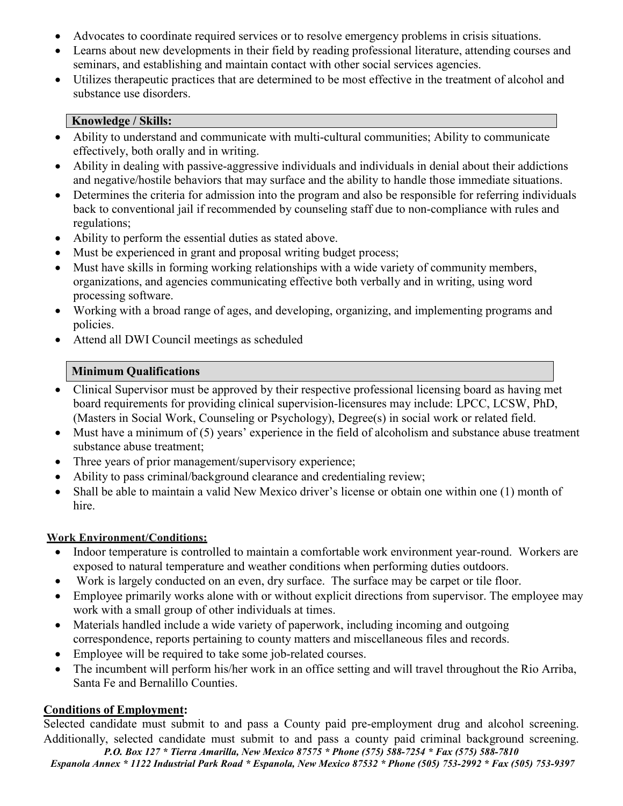- Advocates to coordinate required services or to resolve emergency problems in crisis situations.
- Learns about new developments in their field by reading professional literature, attending courses and seminars, and establishing and maintain contact with other social services agencies.
- Utilizes therapeutic practices that are determined to be most effective in the treatment of alcohol and substance use disorders.

#### **Knowledge / Skills:**

- Ability to understand and communicate with multi-cultural communities; Ability to communicate effectively, both orally and in writing.
- Ability in dealing with passive-aggressive individuals and individuals in denial about their addictions and negative/hostile behaviors that may surface and the ability to handle those immediate situations.
- Determines the criteria for admission into the program and also be responsible for referring individuals back to conventional jail if recommended by counseling staff due to non-compliance with rules and regulations;
- Ability to perform the essential duties as stated above.
- Must be experienced in grant and proposal writing budget process;
- Must have skills in forming working relationships with a wide variety of community members, organizations, and agencies communicating effective both verbally and in writing, using word processing software.
- Working with a broad range of ages, and developing, organizing, and implementing programs and policies.
- Attend all DWI Council meetings as scheduled

## **Minimum Qualifications**

- Clinical Supervisor must be approved by their respective professional licensing board as having met board requirements for providing clinical supervision-licensures may include: LPCC, LCSW, PhD, (Masters in Social Work, Counseling or Psychology), Degree(s) in social work or related field.
- Must have a minimum of (5) years' experience in the field of alcoholism and substance abuse treatment substance abuse treatment;
- Three years of prior management/supervisory experience;
- Ability to pass criminal/background clearance and credentialing review;
- Shall be able to maintain a valid New Mexico driver's license or obtain one within one (1) month of hire.

### **Work Environment/Conditions:**

- Indoor temperature is controlled to maintain a comfortable work environment year-round. Workers are exposed to natural temperature and weather conditions when performing duties outdoors.
- Work is largely conducted on an even, dry surface. The surface may be carpet or tile floor.
- Employee primarily works alone with or without explicit directions from supervisor. The employee may work with a small group of other individuals at times.
- Materials handled include a wide variety of paperwork, including incoming and outgoing correspondence, reports pertaining to county matters and miscellaneous files and records.
- Employee will be required to take some job-related courses.
- The incumbent will perform his/her work in an office setting and will travel throughout the Rio Arriba, Santa Fe and Bernalillo Counties.

## **Conditions of Employment:**

Selected candidate must submit to and pass a County paid pre-employment drug and alcohol screening. Additionally, selected candidate must submit to and pass a county paid criminal background screening.

*P.O. Box 127 \* Tierra Amarilla, New Mexico 87575 \* Phone (575) 588-7254 \* Fax (575) 588-7810 Espanola Annex \* 1122 Industrial Park Road \* Espanola, New Mexico 87532 \* Phone (505) 753-2992 \* Fax (505) 753-9397*